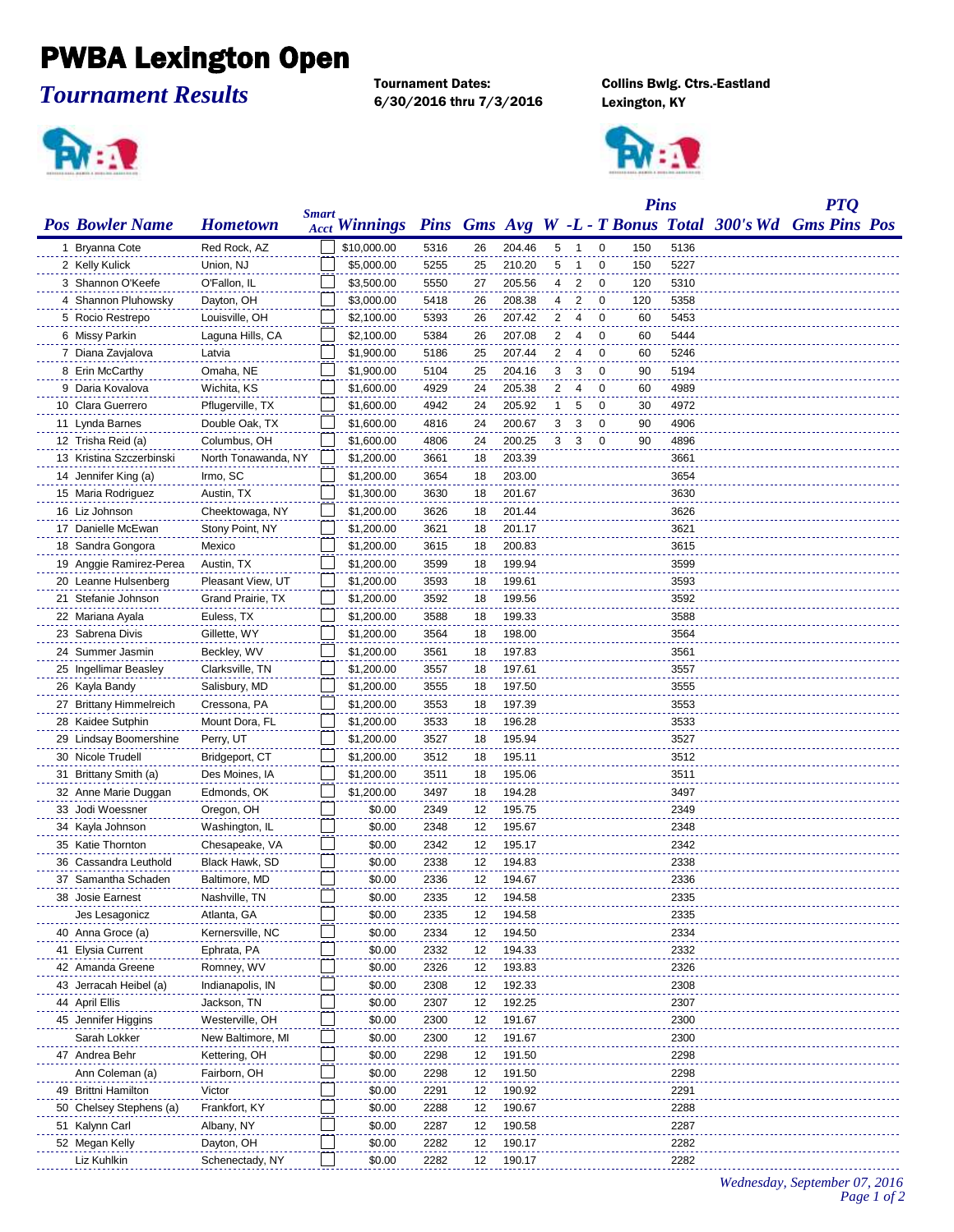## PWBA Lexington Open

*Tournament Results*

6/30/2016 thru 7/3/2016 Lexington, KY

Tournament Dates: Collins Bwlg. Ctrs.-Eastland



|                          |                               |              |                      |      |    |        |                |                |                | <b>Pins</b> |      | <b>PTQ</b>                                              |  |  |
|--------------------------|-------------------------------|--------------|----------------------|------|----|--------|----------------|----------------|----------------|-------------|------|---------------------------------------------------------|--|--|
| <b>Pos Bowler Name</b>   | <b>Hometown</b>               | <b>Smart</b> | <b>Acct Winnings</b> |      |    |        |                |                |                |             |      | Pins Gms Avg W -L - T Bonus Total 300's Wd Gms Pins Pos |  |  |
| 1 Bryanna Cote           | Red Rock, AZ                  |              | \$10,000.00          | 5316 | 26 | 204.46 | 5              | $\mathbf{1}$   | 0              | 150         | 5136 |                                                         |  |  |
| 2 Kelly Kulick           | Union, NJ                     |              | \$5,000.00           | 5255 | 25 | 210.20 | 5              | $\mathbf 1$    | 0              | 150         | 5227 |                                                         |  |  |
| 3 Shannon O'Keefe        | O'Fallon, IL                  |              | \$3,500.00           | 5550 | 27 | 205.56 | 4              | $\overline{2}$ | 0              | 120         | 5310 |                                                         |  |  |
| 4 Shannon Pluhowsky      | Dayton, OH                    |              | \$3,000.00           | 5418 | 26 | 208.38 | 4              | $\overline{2}$ | 0              | 120         | 5358 |                                                         |  |  |
| 5 Rocio Restrepo         | Louisville, OH                |              | \$2,100.00           | 5393 | 26 | 207.42 | 2              | 4              | 0              | 60          | 5453 |                                                         |  |  |
| 6 Missy Parkin           | Laguna Hills, CA              |              | \$2,100.00           | 5384 | 26 | 207.08 | 2              | 4              | 0              | 60          | 5444 |                                                         |  |  |
| 7 Diana Zavjalova        | Latvia                        |              | \$1,900.00           | 5186 | 25 | 207.44 | 2              | 4              | 0              | 60          | 5246 |                                                         |  |  |
| 8 Erin McCarthy          | Omaha, NE                     |              | \$1,900.00           | 5104 | 25 | 204.16 | 3              | 3              | 0              | 90          | 5194 |                                                         |  |  |
| 9 Daria Kovalova         | Wichita, KS                   |              | \$1,600.00           | 4929 | 24 | 205.38 | 2              | 4              | 0              | 60          | 4989 |                                                         |  |  |
| 10 Clara Guerrero        | Pflugerville, TX              |              | \$1,600.00           | 4942 | 24 | 205.92 | 1              | 5              | 0              | 30          | 4972 |                                                         |  |  |
| 11 Lynda Barnes          | Double Oak, TX                |              | \$1,600.00           | 4816 | 24 | 200.67 | 3              | 3              | 0              | 90          | 4906 |                                                         |  |  |
| 12 Trisha Reid (a)       | Columbus, OH                  |              | \$1,600.00           | 4806 | 24 | 200.25 | 3 <sup>7</sup> | 3              | $\overline{0}$ | 90          | 4896 |                                                         |  |  |
| 13 Kristina Szczerbinski | North Tonawanda, NY           |              | \$1,200.00           | 3661 | 18 | 203.39 |                |                |                |             | 3661 |                                                         |  |  |
| 14 Jennifer King (a)     | Irmo, SC                      |              | \$1,200.00           | 3654 | 18 | 203.00 |                |                |                |             | 3654 |                                                         |  |  |
| 15 Maria Rodriguez       | Austin, TX                    |              | \$1,300.00           | 3630 | 18 | 201.67 |                |                |                |             | 3630 |                                                         |  |  |
| 16 Liz Johnson           | Cheektowaga, NY               |              | \$1,200.00           | 3626 | 18 | 201.44 |                |                |                |             | 3626 |                                                         |  |  |
| 17 Danielle McEwan       | Stony Point, NY               |              | \$1,200.00           | 3621 | 18 | 201.17 |                |                |                |             | 3621 |                                                         |  |  |
| 18 Sandra Gongora        | Mexico                        |              | \$1,200.00           | 3615 | 18 | 200.83 |                |                |                |             | 3615 |                                                         |  |  |
| 19 Anggie Ramirez-Perea  | Austin, TX                    |              | \$1,200.00           | 3599 | 18 | 199.94 |                |                |                |             | 3599 |                                                         |  |  |
| 20 Leanne Hulsenberg     | Pleasant View, UT             |              | \$1,200.00           | 3593 | 18 | 199.61 |                |                |                |             | 3593 |                                                         |  |  |
| 21 Stefanie Johnson      | Grand Prairie, TX             |              | \$1,200.00           | 3592 | 18 | 199.56 |                |                |                |             | 3592 |                                                         |  |  |
| 22 Mariana Ayala         | Euless, TX                    |              | \$1,200.00           | 3588 | 18 | 199.33 |                |                |                |             | 3588 |                                                         |  |  |
| 23 Sabrena Divis         | Gillette, WY                  |              | \$1,200.00           | 3564 | 18 | 198.00 |                |                |                |             | 3564 |                                                         |  |  |
| 24 Summer Jasmin         | Beckley, WV                   |              | \$1,200.00           | 3561 | 18 | 197.83 |                |                |                |             | 3561 |                                                         |  |  |
|                          |                               |              | \$1,200.00           | 3557 | 18 | 197.61 |                |                |                |             | 3557 |                                                         |  |  |
| 25 Ingellimar Beasley    | Clarksville, TN               |              | \$1,200.00           |      | 18 | 197.50 |                |                |                |             | 3555 |                                                         |  |  |
| 26 Kayla Bandy           | Salisbury, MD<br>Cressona, PA |              | \$1,200.00           | 3555 | 18 | 197.39 |                |                |                |             | 3553 |                                                         |  |  |
| 27 Brittany Himmelreich  |                               |              |                      | 3553 |    |        |                |                |                |             |      |                                                         |  |  |
| 28 Kaidee Sutphin        | Mount Dora, FL                |              | \$1,200.00           | 3533 | 18 | 196.28 |                |                |                |             | 3533 |                                                         |  |  |
| 29 Lindsay Boomershine   | Perry, UT                     |              | \$1,200.00           | 3527 | 18 | 195.94 |                |                |                |             | 3527 |                                                         |  |  |
| 30 Nicole Trudell        | Bridgeport, CT                |              | \$1,200.00           | 3512 | 18 | 195.11 |                |                |                |             | 3512 |                                                         |  |  |
| 31 Brittany Smith (a)    | Des Moines, IA                |              | \$1,200.00           | 3511 | 18 | 195.06 |                |                |                |             | 3511 |                                                         |  |  |
| 32 Anne Marie Duggan     | Edmonds, OK                   |              | \$1,200.00           | 3497 | 18 | 194.28 |                |                |                |             | 3497 |                                                         |  |  |
| 33 Jodi Woessner         | Oregon, OH                    |              | \$0.00               | 2349 | 12 | 195.75 |                |                |                |             | 2349 |                                                         |  |  |
| 34 Kayla Johnson         | Washington, IL                |              | \$0.00               | 2348 | 12 | 195.67 |                |                |                |             | 2348 |                                                         |  |  |
| 35 Katie Thornton        | Chesapeake, VA                |              | \$0.00               | 2342 | 12 | 195.17 |                |                |                |             | 2342 |                                                         |  |  |
| 36 Cassandra Leuthold    | Black Hawk, SD                |              | \$0.00               | 2338 | 12 | 194.83 |                |                |                |             | 2338 |                                                         |  |  |
| 37 Samantha Schaden      | Baltimore, MD                 |              | \$0.00               | 2336 | 12 | 194.67 |                |                |                |             | 2336 |                                                         |  |  |
| 38 Josie Earnest         | Nashville, TN                 |              | \$0.00               | 2335 | 12 | 194.58 |                |                |                |             | 2335 |                                                         |  |  |
| Jes Lesagonicz           | Atlanta, GA                   |              | \$0.00               | 2335 | 12 | 194.58 |                |                |                |             | 2335 |                                                         |  |  |
| 40 Anna Groce (a)        | Kernersville, NC              |              | \$0.00               | 2334 | 12 | 194.50 |                |                |                |             | 2334 |                                                         |  |  |
| 41 Elysia Current        | Ephrata, PA                   |              | \$0.00               | 2332 | 12 | 194.33 |                |                |                |             | 2332 |                                                         |  |  |
| 42 Amanda Greene         | Romney, WV                    |              | \$0.00               | 2326 | 12 | 193.83 |                |                |                |             | 2326 |                                                         |  |  |
| 43 Jerracah Heibel (a)   | Indianapolis, IN              |              | \$0.00               | 2308 | 12 | 192.33 |                |                |                |             | 2308 |                                                         |  |  |
| 44 April Ellis           | Jackson, TN                   |              | \$0.00               | 2307 | 12 | 192.25 |                |                |                |             | 2307 |                                                         |  |  |
| 45 Jennifer Higgins      | Westerville, OH               |              | \$0.00               | 2300 | 12 | 191.67 |                |                |                |             | 2300 |                                                         |  |  |
| Sarah Lokker             | New Baltimore, MI             |              | \$0.00               | 2300 | 12 | 191.67 |                |                |                |             | 2300 |                                                         |  |  |
| 47 Andrea Behr           | Kettering, OH                 |              | \$0.00               | 2298 | 12 | 191.50 |                |                |                |             | 2298 |                                                         |  |  |
| Ann Coleman (a)          | Fairborn, OH                  |              | \$0.00               | 2298 | 12 | 191.50 |                |                |                |             | 2298 |                                                         |  |  |
| 49 Brittni Hamilton      | Victor                        |              | \$0.00               | 2291 | 12 | 190.92 |                |                |                |             | 2291 |                                                         |  |  |
| 50 Chelsey Stephens (a)  | Frankfort, KY                 |              | \$0.00               | 2288 | 12 | 190.67 |                |                |                |             | 2288 |                                                         |  |  |
| 51 Kalynn Carl           | Albany, NY                    |              | \$0.00               | 2287 | 12 | 190.58 |                |                |                |             | 2287 |                                                         |  |  |
| 52 Megan Kelly           | Dayton, OH                    |              | \$0.00               | 2282 | 12 | 190.17 |                |                |                |             | 2282 |                                                         |  |  |
| Liz Kuhlkin              | Schenectady, NY               |              | \$0.00               | 2282 | 12 | 190.17 |                |                |                |             | 2282 |                                                         |  |  |

*Wednesday, September 07, 2016 Page 1 of 2*